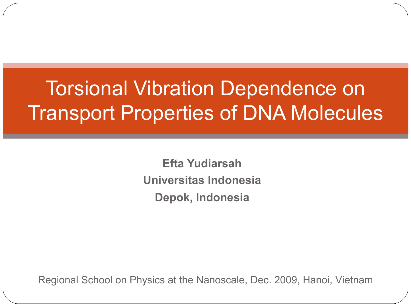## Torsional Vibration Dependence on Transport Properties of DNA Molecules

**Efta Yudiarsah Universitas Indonesia Depok, Indonesia**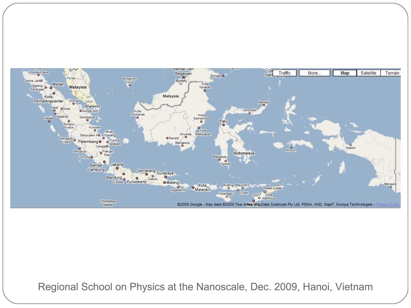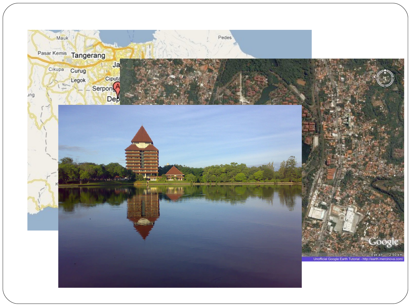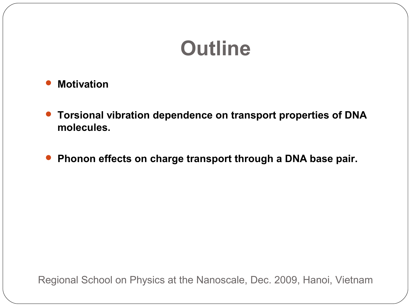## **Outline**

- **Motivation**
- **Torsional vibration dependence on transport properties of DNA molecules.**
- **Phonon effects on charge transport through a DNA base pair.**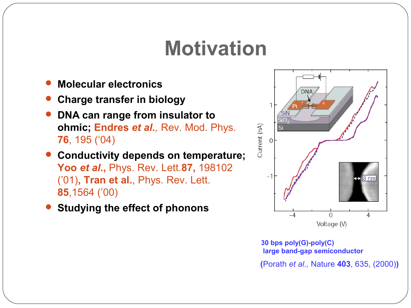### **Motivation**

- **Molecular electronics**
- **Charge transfer in biology**
- **DNA can range from insulator to ohmic; Endres** *et al.,* Rev. Mod. Phys. **76**, 195 ('04)
- **Conductivity depends on temperature; Yoo** *et al***.,** Phys. Rev. Lett.**87,** 198102 ('01)**, Tran et al.**, Phys. Rev. Lett. **85**,1564 ('00)
- **Studying the effect of phonons**



**30 bps poly(G)-poly(C) large band-gap semiconductor**

**(**Porath *et al.,* Nature **403**, 635, (2000)**)**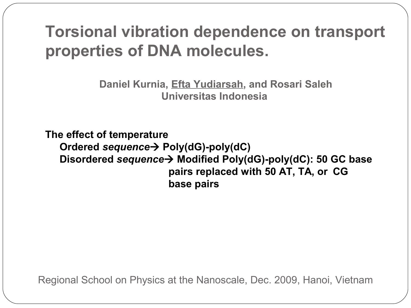### **Torsional vibration dependence on transport properties of DNA molecules.**

**Daniel Kurnia, Efta Yudiarsah, and Rosari Saleh Universitas Indonesia**

**The effect of temperature Ordered** *sequence* **Poly(dG)-poly(dC) Disordered** *sequence* **Modified Poly(dG)-poly(dC): 50 GC base pairs replaced with 50 AT, TA, or CG base pairs**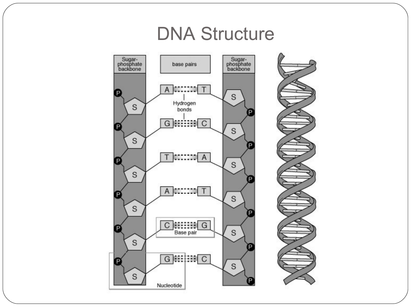### DNA Structure

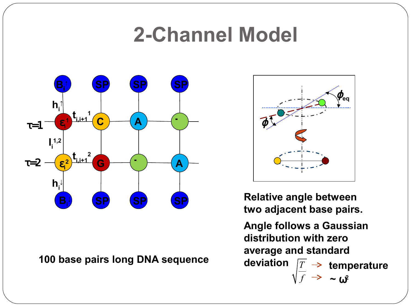## **2-Channel Model**



**100 base pairs long DNA sequence**



**Relative angle between two adjacent base pairs.**

**Angle follows a Gaussian distribution with zero average and standard deviation** *T f* **temperature**  $\sim \omega^2$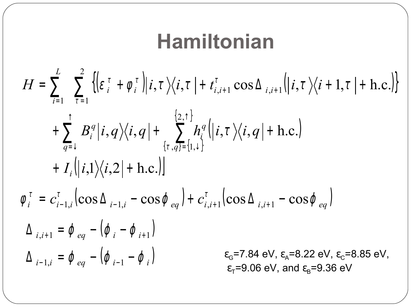# **Hamiltonian**

$$
H = \sum_{i=1}^{L} \left[ \sum_{\tau=1}^{2} \left\{ \left( \varepsilon_{i}^{\tau} + \phi_{i}^{\tau} \right) \middle| i, \tau \right\} \left\langle i, \tau \right| + t_{i,i+1}^{\tau} \cos \Delta_{i,i+1} \left( \middle| i, \tau \right) \left\langle i+1, \tau \right| + \text{h.c.} \right] \right\} + \sum_{q=1}^{L} B_{i}^{q} \left| i, q \right\rangle \left\langle i, q \right| + \sum_{\{\tau, q\} = \{1, 1\}}^{\{2, \uparrow\}} h_{i}^{q} \left( \middle| i, \tau \right) \left\langle i, q \right| + \text{h.c.} \right) + I_{i} \left( \middle| i, 1 \right\rangle \left\langle i, 2 \middle| + \text{h.c.} \right) \right] \phi_{i}^{\tau} = c_{i-1,i}^{\tau} \left( \cos \Delta_{i-1,i} - \cos \varphi_{eq} \right) + c_{i,i+1}^{\tau} \left( \cos \Delta_{i,i+1} - \cos \varphi_{eq} \right) \Delta_{i,i+1} = \varphi_{eq} - \left( \varphi_{i} - \varphi_{i+1} \right) \Delta_{i-1,i} = \varphi_{eq} - \left( \varphi_{i-1} - \varphi_{i} \right) \qquad \qquad \varepsilon_{\tau} = 9.06 \text{ eV, and } \varepsilon_{\text{B}} = 9.36 \text{ eV}.
$$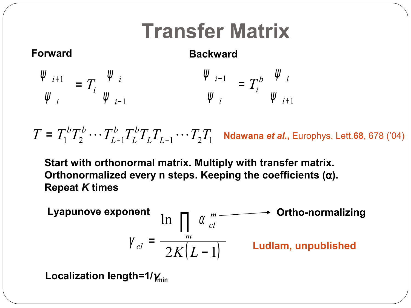

 $T = T_1^b T_2^b \cdots T_{L-1}^b T_L^b T_L T_{L-1} \cdots T_2 T_1$ *L b*  $I=\ T_1^b T_2^b\cdots T_{L-1}^b T_L^b T_L T_{L-1}\cdots T_2 T_1$  Ndawana et al., Europhys. Lett.68, 678 ('04)

**Start with orthonormal matrix. Multiply with transfer matrix. Orthonormalized every n steps. Keeping the coefficients (**α**). Repeat** *K* **times** 

Lyapunove exponent

\n
$$
\gamma_{cl} = \frac{\ln\left(\prod_{m} \alpha_{cl}^{m}\right)}{2K(L-1)}
$$
\nCitho-normalizing

**Localization length=1/**γ<sub>min</sub>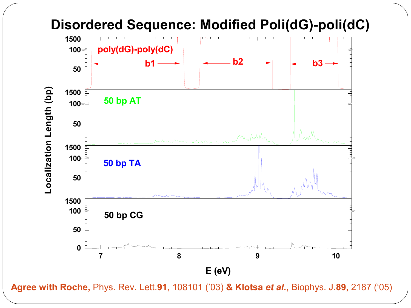

**Agree with Roche,** Phys. Rev. Lett.**91**, 108101 ('03) **& Klotsa** *et al.***,** Biophys. J.**89,** 2187 ('05)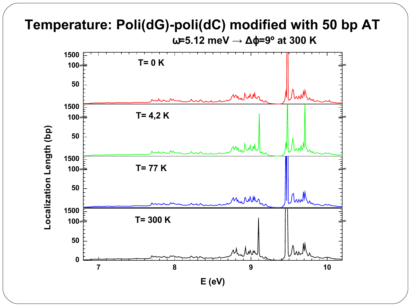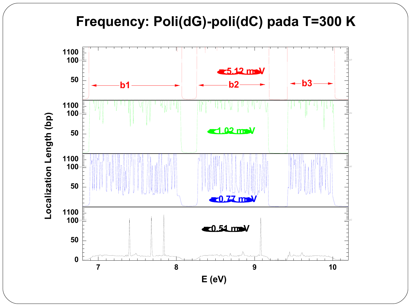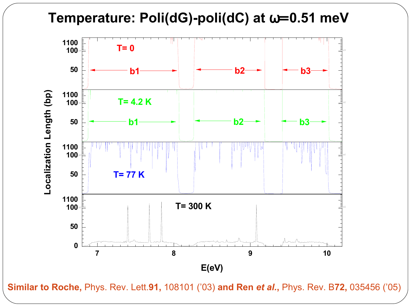### **Temperature: Poli(dG)-poli(dC) at** ω= **0.51 meV**



**Similar to Roche,** Phys. Rev. Lett.**91,** 108101 ('03) **and Ren** *et al.***,** Phys. Rev. B**72,** 035456 ('05)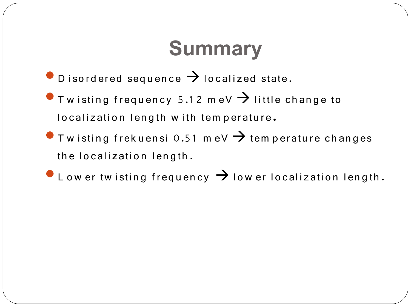# **Summary**

- $\bullet$  D isordered sequence  $\rightarrow$  localized state.
- Twisting frequency 5.12 m eV  $\rightarrow$  little change to localization length with tem perature.
- Twisting frekuensi 0.51 m eV  $\rightarrow$  tem perature changes the localization length.
- $\bullet$  L ow er tw isting frequency  $\rightarrow$  low er localization length.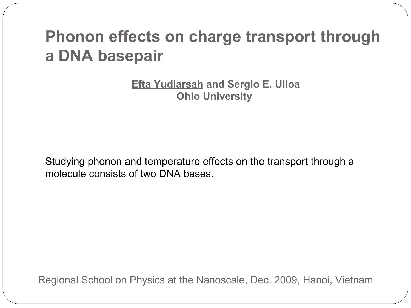### **Phonon effects on charge transport through a DNA basepair**

**Efta Yudiarsah and Sergio E. Ulloa Ohio University**

Studying phonon and temperature effects on the transport through a molecule consists of two DNA bases.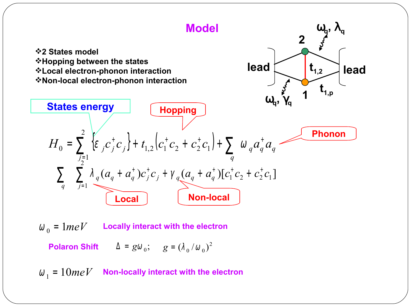

2 **Polaron Shift**  $\Delta = g\omega_0;$   $g = (\lambda_0/\omega_0)$ 

 $\omega_1 = 10meV$  **Non-locally interact with the electron**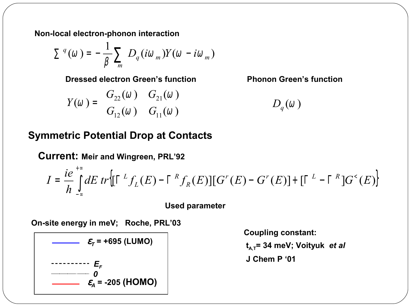**Non-local electron-phonon interaction** 

$$
\sum q(\omega) = -\frac{1}{\beta} \sum_{m} D_q(i\omega_m) Y(\omega - i\omega_m)
$$

**Dressed electron Green's function**  Phonon Green's function

$$
Y(\omega) = \begin{pmatrix} G_{22}(\omega) & G_{21}(\omega) \\ G_{12}(\omega) & G_{11}(\omega) \end{pmatrix} D_q(\omega)
$$

$$
D_q(\omega)
$$

#### **Symmetric Potential Drop at Contacts**

**Current: Meir and Wingreen, PRL'92**

$$
I = \frac{ie}{h} \int\limits_{-\infty}^{+\infty} dE \, tr \Bigl[ \Gamma^{L} f_{L}(E) - \Gamma^{R} f_{R}(E) \Bigl[ G^{r}(E) - G^{r}(E) \Bigr] + \Bigl[ \Gamma^{L} - \Gamma^{R} \Bigr] G^{(E)} \Bigl]
$$

**Used parameter** 

**On-site energy in meV; Roche, PRL'03** 

$$
\mathcal{E}_{T} = +695 \text{ (LUMO)}
$$
\n
$$
\begin{array}{c}\n\text{---} \\
\hline\n\text{---} \\
\hline\n\text{---} \\
\mathcal{E}_{A} = -205 \text{ (HOMO)}\n\end{array}
$$

**Coupling constant: tA,T= 34 meV; Voityuk** *et al* **J Chem P '01**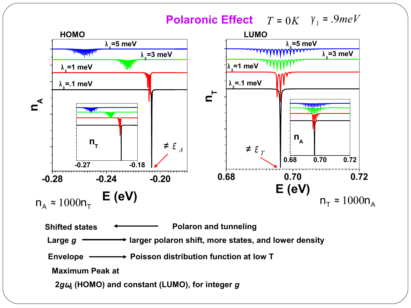

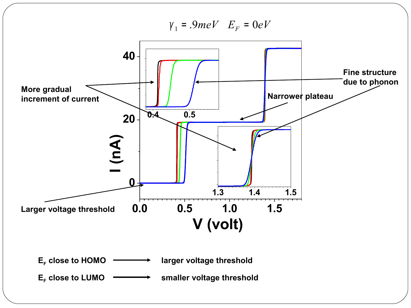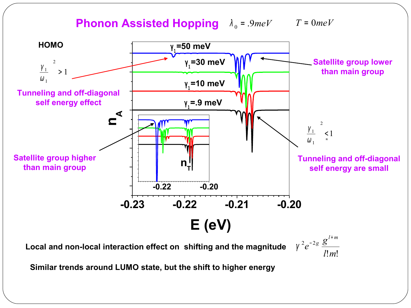![](_page_20_Figure_0.jpeg)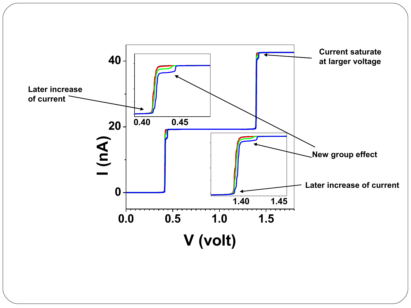![](_page_21_Figure_0.jpeg)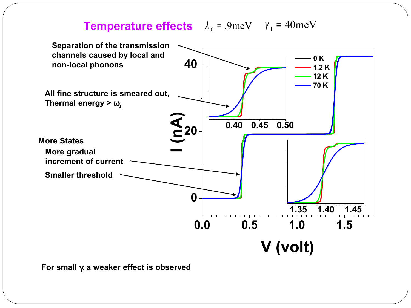#### **Temperature effects**  $\lambda_0 = .9$ meV  $\gamma_1 = 40$ meV

![](_page_22_Figure_1.jpeg)

**For small** γ**1 a weaker effect is observed**